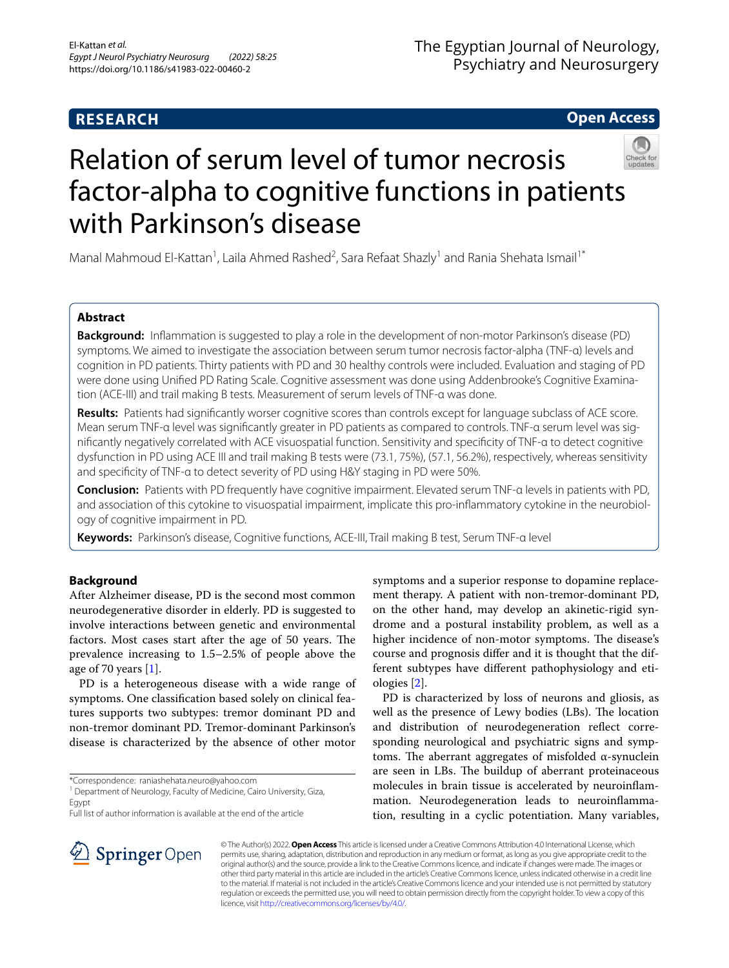# **RESEARCH**

**Open Access**

# Relation of serum level of tumor necrosis factor-alpha to cognitive functions in patients with Parkinson's disease

Manal Mahmoud El-Kattan<sup>1</sup>, Laila Ahmed Rashed<sup>2</sup>, Sara Refaat Shazly<sup>1</sup> and Rania Shehata Ismail<sup>1\*</sup>

# **Abstract**

**Background:** Inflammation is suggested to play a role in the development of non-motor Parkinson's disease (PD) symptoms. We aimed to investigate the association between serum tumor necrosis factor-alpha (TNF-α) levels and cognition in PD patients. Thirty patients with PD and 30 healthy controls were included. Evaluation and staging of PD were done using Unified PD Rating Scale. Cognitive assessment was done using Addenbrooke's Cognitive Examination (ACE-III) and trail making B tests. Measurement of serum levels of TNF-α was done.

**Results:** Patients had signifcantly worser cognitive scores than controls except for language subclass of ACE score. Mean serum TNF-α level was significantly greater in PD patients as compared to controls. TNF-α serum level was signifcantly negatively correlated with ACE visuospatial function. Sensitivity and specifcity of TNF-α to detect cognitive dysfunction in PD using ACE III and trail making B tests were (73.1, 75%), (57.1, 56.2%), respectively, whereas sensitivity and specifcity of TNF-α to detect severity of PD using H&Y staging in PD were 50%.

**Conclusion:** Patients with PD frequently have cognitive impairment. Elevated serum TNF-α levels in patients with PD, and association of this cytokine to visuospatial impairment, implicate this pro-inflammatory cytokine in the neurobiology of cognitive impairment in PD.

**Keywords:** Parkinson's disease, Cognitive functions, ACE-III, Trail making B test, Serum TNF-α level

# **Background**

After Alzheimer disease, PD is the second most common neurodegenerative disorder in elderly. PD is suggested to involve interactions between genetic and environmental factors. Most cases start after the age of 50 years. The prevalence increasing to 1.5–2.5% of people above the age of 70 years  $[1]$  $[1]$ .

PD is a heterogeneous disease with a wide range of symptoms. One classifcation based solely on clinical features supports two subtypes: tremor dominant PD and non-tremor dominant PD. Tremor-dominant Parkinson's disease is characterized by the absence of other motor

\*Correspondence: raniashehata.neuro@yahoo.com

<sup>1</sup> Department of Neurology, Faculty of Medicine, Cairo University, Giza, Egypt

Full list of author information is available at the end of the article

symptoms and a superior response to dopamine replacement therapy. A patient with non-tremor-dominant PD, on the other hand, may develop an akinetic-rigid syndrome and a postural instability problem, as well as a higher incidence of non-motor symptoms. The disease's course and prognosis difer and it is thought that the different subtypes have diferent pathophysiology and etiologies [[2\]](#page-5-1).

PD is characterized by loss of neurons and gliosis, as well as the presence of Lewy bodies (LBs). The location and distribution of neurodegeneration refect corresponding neurological and psychiatric signs and symptoms. The aberrant aggregates of misfolded  $α$ -synuclein are seen in LBs. The buildup of aberrant proteinaceous molecules in brain tissue is accelerated by neuroinfammation. Neurodegeneration leads to neuroinfammation, resulting in a cyclic potentiation. Many variables,



© The Author(s) 2022. **Open Access** This article is licensed under a Creative Commons Attribution 4.0 International License, which permits use, sharing, adaptation, distribution and reproduction in any medium or format, as long as you give appropriate credit to the original author(s) and the source, provide a link to the Creative Commons licence, and indicate if changes were made. The images or other third party material in this article are included in the article's Creative Commons licence, unless indicated otherwise in a credit line to the material. If material is not included in the article's Creative Commons licence and your intended use is not permitted by statutory regulation or exceeds the permitted use, you will need to obtain permission directly from the copyright holder. To view a copy of this licence, visit [http://creativecommons.org/licenses/by/4.0/.](http://creativecommons.org/licenses/by/4.0/)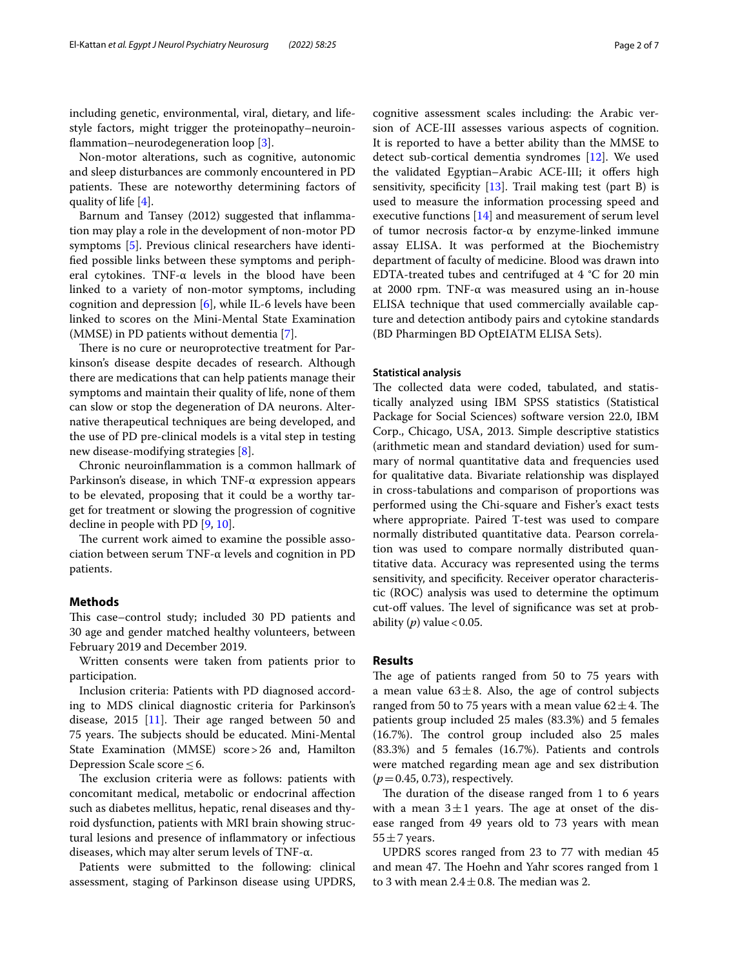including genetic, environmental, viral, dietary, and lifestyle factors, might trigger the proteinopathy–neuroinfammation–neurodegeneration loop [[3\]](#page-5-2).

Non-motor alterations, such as cognitive, autonomic and sleep disturbances are commonly encountered in PD patients. These are noteworthy determining factors of quality of life [\[4](#page-5-3)].

Barnum and Tansey (2012) suggested that infammation may play a role in the development of non-motor PD symptoms [[5\]](#page-5-4). Previous clinical researchers have identifed possible links between these symptoms and peripheral cytokines. TNF- $\alpha$  levels in the blood have been linked to a variety of non-motor symptoms, including cognition and depression [\[6](#page-5-5)], while IL-6 levels have been linked to scores on the Mini-Mental State Examination (MMSE) in PD patients without dementia [[7](#page-5-6)].

There is no cure or neuroprotective treatment for Parkinson's disease despite decades of research. Although there are medications that can help patients manage their symptoms and maintain their quality of life, none of them can slow or stop the degeneration of DA neurons. Alternative therapeutical techniques are being developed, and the use of PD pre-clinical models is a vital step in testing new disease-modifying strategies [\[8](#page-5-7)].

Chronic neuroinfammation is a common hallmark of Parkinson's disease, in which TNF-α expression appears to be elevated, proposing that it could be a worthy target for treatment or slowing the progression of cognitive decline in people with PD [\[9](#page-5-8), [10\]](#page-5-9).

The current work aimed to examine the possible association between serum TNF-α levels and cognition in PD patients.

## **Methods**

This case–control study; included 30 PD patients and 30 age and gender matched healthy volunteers, between February 2019 and December 2019.

Written consents were taken from patients prior to participation.

Inclusion criteria: Patients with PD diagnosed according to MDS clinical diagnostic criteria for Parkinson's disease,  $2015$  [\[11](#page-5-10)]. Their age ranged between 50 and 75 years. The subjects should be educated. Mini-Mental State Examination (MMSE) score>26 and, Hamilton Depression Scale score≤6.

The exclusion criteria were as follows: patients with concomitant medical, metabolic or endocrinal afection such as diabetes mellitus, hepatic, renal diseases and thyroid dysfunction, patients with MRI brain showing structural lesions and presence of infammatory or infectious diseases, which may alter serum levels of TNF-α.

Patients were submitted to the following: clinical assessment, staging of Parkinson disease using UPDRS, cognitive assessment scales including: the Arabic version of ACE-III assesses various aspects of cognition. It is reported to have a better ability than the MMSE to detect sub-cortical dementia syndromes [[12\]](#page-5-11). We used the validated Egyptian-Arabic ACE-III; it offers high sensitivity, specificity  $[13]$  $[13]$ . Trail making test (part B) is used to measure the information processing speed and executive functions [[14\]](#page-5-13) and measurement of serum level of tumor necrosis factor-α by enzyme-linked immune assay ELISA. It was performed at the Biochemistry department of faculty of medicine. Blood was drawn into EDTA-treated tubes and centrifuged at 4 °C for 20 min at 2000 rpm. TNF-α was measured using an in-house ELISA technique that used commercially available capture and detection antibody pairs and cytokine standards (BD Pharmingen BD OptEIATM ELISA Sets).

# **Statistical analysis**

The collected data were coded, tabulated, and statistically analyzed using IBM SPSS statistics (Statistical Package for Social Sciences) software version 22.0, IBM Corp., Chicago, USA, 2013. Simple descriptive statistics (arithmetic mean and standard deviation) used for summary of normal quantitative data and frequencies used for qualitative data. Bivariate relationship was displayed in cross-tabulations and comparison of proportions was performed using the Chi-square and Fisher's exact tests where appropriate. Paired T-test was used to compare normally distributed quantitative data. Pearson correlation was used to compare normally distributed quantitative data. Accuracy was represented using the terms sensitivity, and specificity. Receiver operator characteristic (ROC) analysis was used to determine the optimum cut-off values. The level of significance was set at probability  $(p)$  value < 0.05.

## **Results**

The age of patients ranged from 50 to 75 years with a mean value  $63 \pm 8$ . Also, the age of control subjects ranged from 50 to 75 years with a mean value  $62 \pm 4$ . The patients group included 25 males (83.3%) and 5 females  $(16.7%)$ . The control group included also 25 males (83.3%) and 5 females (16.7%). Patients and controls were matched regarding mean age and sex distribution (*p*=0.45, 0.73), respectively.

The duration of the disease ranged from  $1$  to  $6$  years with a mean  $3\pm 1$  years. The age at onset of the disease ranged from 49 years old to 73 years with mean  $55 \pm 7$  years.

UPDRS scores ranged from 23 to 77 with median 45 and mean 47. The Hoehn and Yahr scores ranged from 1 to 3 with mean  $2.4 \pm 0.8$ . The median was 2.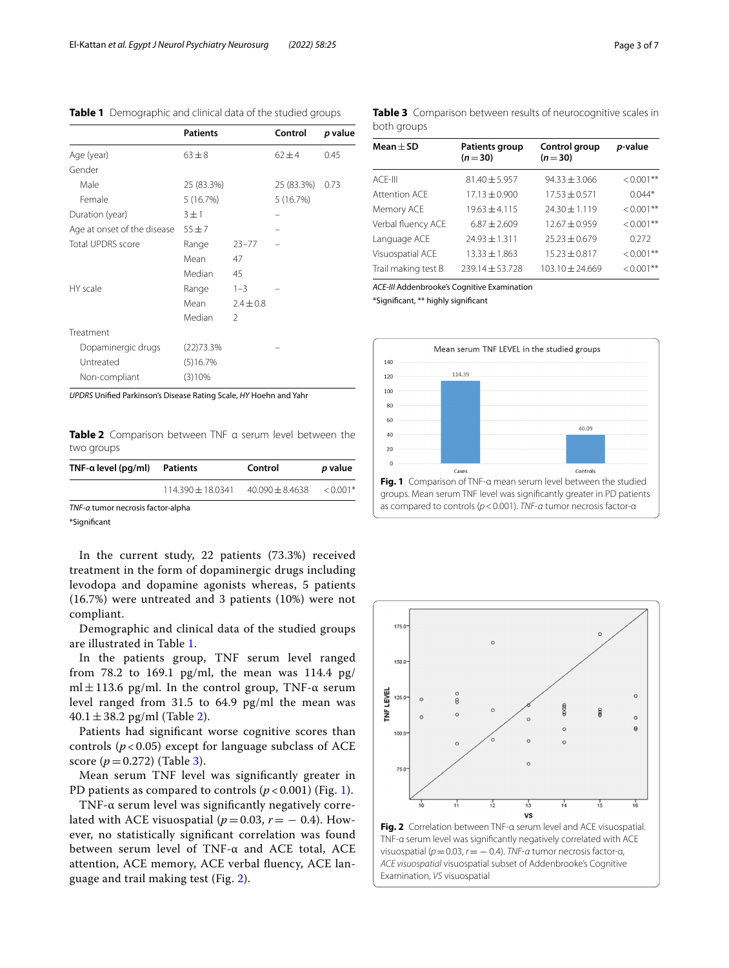|                             | <b>Patients</b> |               | Control    | p value |
|-----------------------------|-----------------|---------------|------------|---------|
| Age (year)                  | $63 + 8$        |               | $62 + 4$   | 0.45    |
| Gender                      |                 |               |            |         |
| Male                        | 25 (83.3%)      |               | 25 (83.3%) | 0.73    |
| Female                      | 5(16.7%)        |               | 5(16.7%)   |         |
| Duration (year)             | $3 \pm 1$       |               |            |         |
| Age at onset of the disease | $55 + 7$        |               |            |         |
| <b>Total UPDRS score</b>    | Range           | $23 - 77$     |            |         |
|                             | Mean            | 47            |            |         |
|                             | Median          | 45            |            |         |
| HY scale                    | Range           | $1 - 3$       |            |         |
|                             | Mean            | $2.4 \pm 0.8$ |            |         |
|                             | Median          | $\mathcal{P}$ |            |         |
| Treatment                   |                 |               |            |         |
| Dopaminergic drugs          | (22)73.3%       |               |            |         |
| Untreated                   | (5)16.7%        |               |            |         |
| Non-compliant               | (3)10%          |               |            |         |

<span id="page-2-0"></span>**Table 1** Demographic and clinical data of the studied groups

*UPDRS* Unifed Parkinson's Disease Rating Scale, *HY* Hoehn and Yahr

<span id="page-2-1"></span>**Table 2** Comparison between TNF α serum level between the two groups

| $TNF$ -a level (pg/ml)            | Patients            | Control             | p value    |  |
|-----------------------------------|---------------------|---------------------|------------|--|
|                                   | $114.390 + 18.0341$ | $40.090 \pm 8.4638$ | $< 0.001*$ |  |
| TNF-a tumor necrosis factor-alpha |                     |                     |            |  |

\*Signifcant

In the current study, 22 patients (73.3%) received treatment in the form of dopaminergic drugs including levodopa and dopamine agonists whereas, 5 patients (16.7%) were untreated and 3 patients (10%) were not compliant.

Demographic and clinical data of the studied groups are illustrated in Table [1.](#page-2-0)

In the patients group, TNF serum level ranged from 78.2 to 169.1  $pg/ml$ , the mean was 114.4  $pg/$ ml $\pm$ 113.6 pg/ml. In the control group, TNF- $\alpha$  serum level ranged from 31.5 to 64.9 pg/ml the mean was 40.1  $\pm$  38.[2](#page-2-1) pg/ml (Table 2).

Patients had signifcant worse cognitive scores than controls  $(p < 0.05)$  except for language subclass of ACE score  $(p = 0.272)$  (Table [3\)](#page-2-2).

Mean serum TNF level was signifcantly greater in PD patients as compared to controls  $(p < 0.001)$  (Fig. [1](#page-2-3)).

TNF-α serum level was signifcantly negatively correlated with ACE visuospatial ( $p=0.03$ ,  $r=-0.4$ ). However, no statistically signifcant correlation was found between serum level of TNF-α and ACE total, ACE attention, ACE memory, ACE verbal fuency, ACE language and trail making test (Fig. [2](#page-2-4)).

<span id="page-2-2"></span>**Table 3** Comparison between results of neurocognitive scales in both groups

| Mean $\pm$ SD       | <b>Patients group</b><br>$(n=30)$ | Control group<br>$(n=30)$ | p-value      |
|---------------------|-----------------------------------|---------------------------|--------------|
| $ACF-III$           | $81.40 \pm 5.957$                 | $94.33 \pm 3.066$         | $< 0.001$ ** |
| Attention ACE       | $17.13 \pm 0.900$                 | $17.53 \pm 0.571$         | $0.044*$     |
| Memory ACE          | $19.63 \pm 4.115$                 | $24.30 \pm 1.119$         | $< 0.001$ ** |
| Verbal fluency ACE  | $6.87 \pm 2.609$                  | $12.67 \pm 0.959$         | $< 0.001$ ** |
| Language ACE        | $24.93 \pm 1.311$                 | $25.23 \pm 0.679$         | 0.272        |
| Visuospatial ACE    | $13.33 \pm 1.863$                 | $15.23 \pm 0.817$         | $< 0.001$ ** |
| Trail making test B | $239.14 \pm 53.728$               | $103.10 \pm 24.669$       | $< 0.001$ ** |

*ACE-III* Addenbrooke's Cognitive Examination

\*Signifcant, \*\* highly signifcant



<span id="page-2-3"></span>

<span id="page-2-4"></span>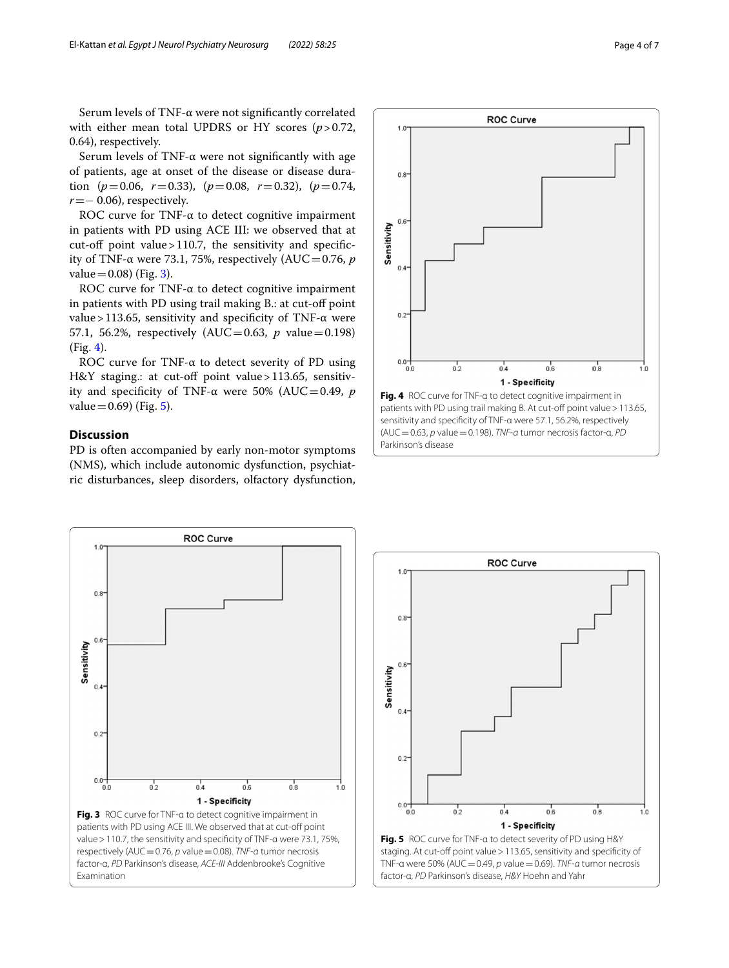Serum levels of TNF-α were not signifcantly correlated with either mean total UPDRS or HY scores ( $p > 0.72$ , 0.64), respectively.

Serum levels of TNF-α were not signifcantly with age of patients, age at onset of the disease or disease duration ( $p=0.06$ ,  $r=0.33$ ), ( $p=0.08$ ,  $r=0.32$ ), ( $p=0.74$ , *r* = − 0.06), respectively.

ROC curve for TNF-α to detect cognitive impairment in patients with PD using ACE III: we observed that at cut-off point value > 110.7, the sensitivity and specificity of TNF-α were 73.1, 75%, respectively (AUC=0.76,  $$  $value = 0.08$  (Fig. [3\)](#page-3-0).

ROC curve for TNF-α to detect cognitive impairment in patients with PD using trail making B.: at cut-off point value > 113.65, sensitivity and specificity of TNF- $\alpha$  were 57.1, 56.2%, respectively (AUC=0.63, *p* value=0.198) (Fig. [4\)](#page-3-1).

ROC curve for TNF-α to detect severity of PD using H&Y staging.: at cut-off point value > 113.65, sensitivity and specificity of TNF-α were 50% (AUC=0.49, *p*  $value = 0.69$  (Fig. [5\)](#page-3-2).

# **Discussion**

PD is often accompanied by early non-motor symptoms (NMS), which include autonomic dysfunction, psychiatric disturbances, sleep disorders, olfactory dysfunction,



<span id="page-3-0"></span>

<span id="page-3-2"></span><span id="page-3-1"></span>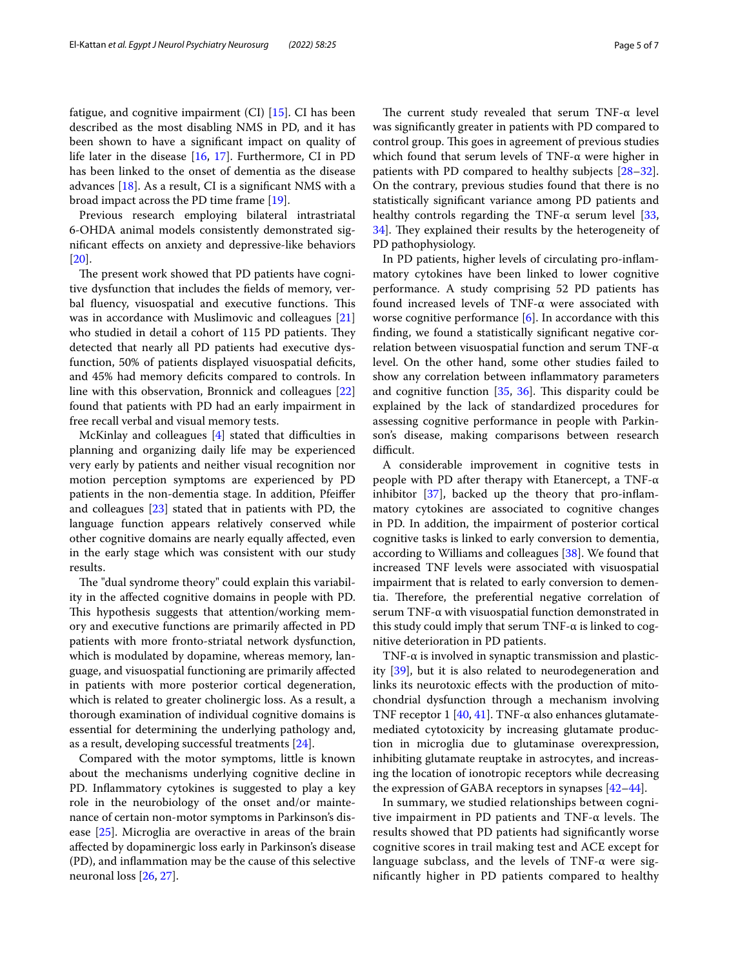fatigue, and cognitive impairment (CI) [\[15](#page-6-0)]. CI has been described as the most disabling NMS in PD, and it has been shown to have a signifcant impact on quality of life later in the disease [\[16](#page-6-1), [17\]](#page-6-2). Furthermore, CI in PD has been linked to the onset of dementia as the disease advances  $[18]$  $[18]$  $[18]$ . As a result, CI is a significant NMS with a broad impact across the PD time frame [[19\]](#page-6-4).

Previous research employing bilateral intrastriatal 6-OHDA animal models consistently demonstrated signifcant efects on anxiety and depressive-like behaviors [[20\]](#page-6-5).

The present work showed that PD patients have cognitive dysfunction that includes the felds of memory, verbal fluency, visuospatial and executive functions. This was in accordance with Muslimovic and colleagues [[21](#page-6-6)] who studied in detail a cohort of 115 PD patients. They detected that nearly all PD patients had executive dysfunction, 50% of patients displayed visuospatial deficits, and 45% had memory deficits compared to controls. In line with this observation, Bronnick and colleagues [[22](#page-6-7)] found that patients with PD had an early impairment in free recall verbal and visual memory tests.

McKinlay and colleagues  $[4]$  stated that difficulties in planning and organizing daily life may be experienced very early by patients and neither visual recognition nor motion perception symptoms are experienced by PD patients in the non-dementia stage. In addition, Pfeifer and colleagues [\[23](#page-6-8)] stated that in patients with PD, the language function appears relatively conserved while other cognitive domains are nearly equally afected, even in the early stage which was consistent with our study results.

The "dual syndrome theory" could explain this variability in the afected cognitive domains in people with PD. This hypothesis suggests that attention/working memory and executive functions are primarily afected in PD patients with more fronto-striatal network dysfunction, which is modulated by dopamine, whereas memory, language, and visuospatial functioning are primarily afected in patients with more posterior cortical degeneration, which is related to greater cholinergic loss. As a result, a thorough examination of individual cognitive domains is essential for determining the underlying pathology and, as a result, developing successful treatments [[24\]](#page-6-9).

Compared with the motor symptoms, little is known about the mechanisms underlying cognitive decline in PD. Infammatory cytokines is suggested to play a key role in the neurobiology of the onset and/or maintenance of certain non-motor symptoms in Parkinson's disease [[25\]](#page-6-10). Microglia are overactive in areas of the brain afected by dopaminergic loss early in Parkinson's disease (PD), and infammation may be the cause of this selective neuronal loss [\[26](#page-6-11), [27\]](#page-6-12).

The current study revealed that serum TNF- $\alpha$  level was signifcantly greater in patients with PD compared to control group. This goes in agreement of previous studies which found that serum levels of  $TNF-\alpha$  were higher in patients with PD compared to healthy subjects [[28](#page-6-13)[–32](#page-6-14)]. On the contrary, previous studies found that there is no statistically signifcant variance among PD patients and healthy controls regarding the TNF- $\alpha$  serum level [[33](#page-6-15), [34\]](#page-6-16). They explained their results by the heterogeneity of PD pathophysiology.

In PD patients, higher levels of circulating pro-infammatory cytokines have been linked to lower cognitive performance. A study comprising 52 PD patients has found increased levels of TNF-α were associated with worse cognitive performance [[6\]](#page-5-5). In accordance with this fnding, we found a statistically signifcant negative correlation between visuospatial function and serum TNF-α level. On the other hand, some other studies failed to show any correlation between infammatory parameters and cognitive function  $[35, 36]$  $[35, 36]$  $[35, 36]$  $[35, 36]$  $[35, 36]$ . This disparity could be explained by the lack of standardized procedures for assessing cognitive performance in people with Parkinson's disease, making comparisons between research difficult.

A considerable improvement in cognitive tests in people with PD after therapy with Etanercept, a TNF-α inhibitor  $[37]$ , backed up the theory that pro-inflammatory cytokines are associated to cognitive changes in PD. In addition, the impairment of posterior cortical cognitive tasks is linked to early conversion to dementia, according to Williams and colleagues [\[38\]](#page-6-20). We found that increased TNF levels were associated with visuospatial impairment that is related to early conversion to dementia. Therefore, the preferential negative correlation of serum TNF-α with visuospatial function demonstrated in this study could imply that serum TNF-α is linked to cognitive deterioration in PD patients.

TNF- $\alpha$  is involved in synaptic transmission and plasticity [\[39\]](#page-6-21), but it is also related to neurodegeneration and links its neurotoxic efects with the production of mitochondrial dysfunction through a mechanism involving TNF receptor 1 [\[40](#page-6-22), [41\]](#page-6-23). TNF- $\alpha$  also enhances glutamatemediated cytotoxicity by increasing glutamate production in microglia due to glutaminase overexpression, inhibiting glutamate reuptake in astrocytes, and increasing the location of ionotropic receptors while decreasing the expression of GABA receptors in synapses [\[42–](#page-6-24)[44\]](#page-6-25).

In summary, we studied relationships between cognitive impairment in PD patients and TNF- $\alpha$  levels. The results showed that PD patients had signifcantly worse cognitive scores in trail making test and ACE except for language subclass, and the levels of TNF-α were signifcantly higher in PD patients compared to healthy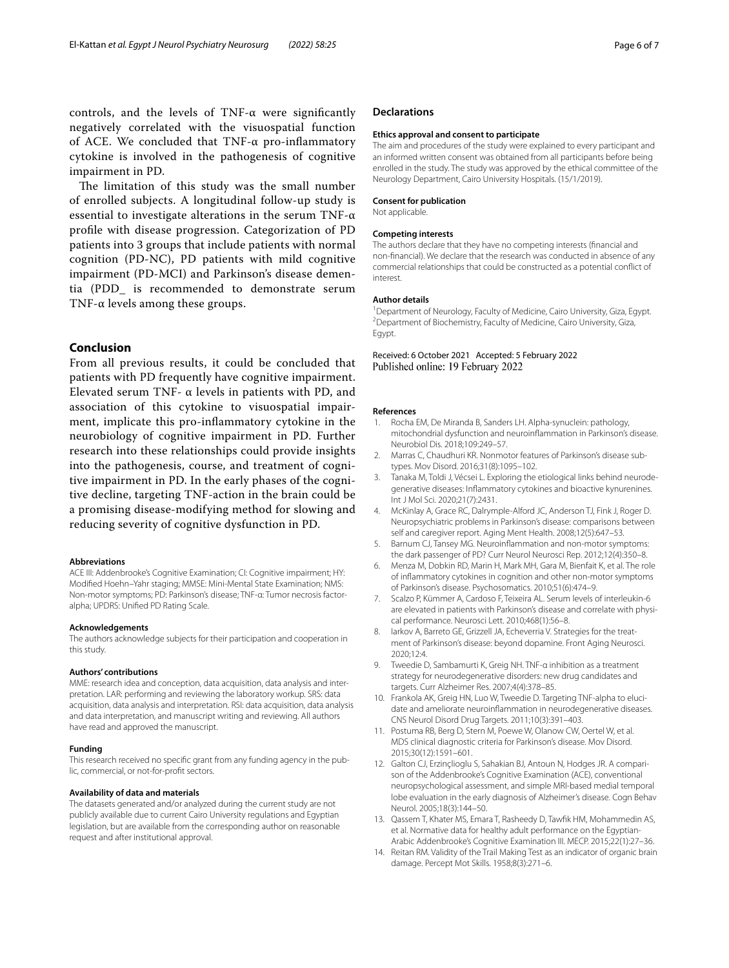The limitation of this study was the small number of enrolled subjects. A longitudinal follow-up study is essential to investigate alterations in the serum TNF- $\alpha$ profle with disease progression. Categorization of PD patients into 3 groups that include patients with normal cognition (PD-NC), PD patients with mild cognitive impairment (PD-MCI) and Parkinson's disease dementia (PDD\_ is recommended to demonstrate serum TNF-α levels among these groups.

# **Conclusion**

From all previous results, it could be concluded that patients with PD frequently have cognitive impairment. Elevated serum TNF-  $\alpha$  levels in patients with PD, and association of this cytokine to visuospatial impairment, implicate this pro-infammatory cytokine in the neurobiology of cognitive impairment in PD. Further research into these relationships could provide insights into the pathogenesis, course, and treatment of cognitive impairment in PD. In the early phases of the cognitive decline, targeting TNF-action in the brain could be a promising disease-modifying method for slowing and reducing severity of cognitive dysfunction in PD.

#### **Abbreviations**

ACE III: Addenbrooke's Cognitive Examination; CI: Cognitive impairment; HY: Modifed Hoehn–Yahr staging; MMSE: Mini-Mental State Examination; NMS: Non-motor symptoms; PD: Parkinson's disease; TNF-α: Tumor necrosis factoralpha; UPDRS: Unifed PD Rating Scale.

#### **Acknowledgements**

The authors acknowledge subjects for their participation and cooperation in this study.

#### **Authors' contributions**

MME: research idea and conception, data acquisition, data analysis and interpretation. LAR: performing and reviewing the laboratory workup. SRS: data acquisition, data analysis and interpretation. RSI: data acquisition, data analysis and data interpretation, and manuscript writing and reviewing. All authors have read and approved the manuscript.

#### **Funding**

This research received no specific grant from any funding agency in the public, commercial, or not-for-proft sectors.

#### **Availability of data and materials**

The datasets generated and/or analyzed during the current study are not publicly available due to current Cairo University regulations and Egyptian legislation, but are available from the corresponding author on reasonable request and after institutional approval.

## **Declarations**

#### **Ethics approval and consent to participate**

The aim and procedures of the study were explained to every participant and an informed written consent was obtained from all participants before being enrolled in the study. The study was approved by the ethical committee of the Neurology Department, Cairo University Hospitals. (15/1/2019).

## **Consent for publication**

Not applicable.

#### **Competing interests**

The authors declare that they have no competing interests (fnancial and non-fnancial). We declare that the research was conducted in absence of any commercial relationships that could be constructed as a potential confict of interest.

#### **Author details**

<sup>1</sup> Department of Neurology, Faculty of Medicine, Cairo University, Giza, Egypt.<br><sup>2</sup> Department of Biochemistry, Faculty of Medicine, Cairo University Giza. <sup>2</sup> Department of Biochemistry, Faculty of Medicine, Cairo University, Giza, Egypt.

Received: 6 October 2021 Accepted: 5 February 2022 Published online: 19 February 2022

#### **References**

- <span id="page-5-0"></span>1. Rocha EM, De Miranda B, Sanders LH. Alpha-synuclein: pathology, mitochondrial dysfunction and neuroinfammation in Parkinson's disease. Neurobiol Dis. 2018;109:249–57.
- <span id="page-5-1"></span>2. Marras C, Chaudhuri KR. Nonmotor features of Parkinson's disease subtypes. Mov Disord. 2016;31(8):1095–102.
- <span id="page-5-2"></span>3. Tanaka M, Toldi J, Vécsei L. Exploring the etiological links behind neurodegenerative diseases: Infammatory cytokines and bioactive kynurenines. Int J Mol Sci. 2020;21(7):2431.
- <span id="page-5-3"></span>4. McKinlay A, Grace RC, Dalrymple-Alford JC, Anderson TJ, Fink J, Roger D. Neuropsychiatric problems in Parkinson's disease: comparisons between self and caregiver report. Aging Ment Health. 2008;12(5):647–53.
- <span id="page-5-4"></span>5. Barnum CJ, Tansey MG. Neuroinfammation and non-motor symptoms: the dark passenger of PD? Curr Neurol Neurosci Rep. 2012;12(4):350–8.
- <span id="page-5-5"></span>6. Menza M, Dobkin RD, Marin H, Mark MH, Gara M, Bienfait K, et al. The role of infammatory cytokines in cognition and other non-motor symptoms of Parkinson's disease. Psychosomatics. 2010;51(6):474–9.
- <span id="page-5-6"></span>7. Scalzo P, Kümmer A, Cardoso F, Teixeira AL. Serum levels of interleukin-6 are elevated in patients with Parkinson's disease and correlate with physical performance. Neurosci Lett. 2010;468(1):56–8.
- <span id="page-5-7"></span>8. Iarkov A, Barreto GE, Grizzell JA, Echeverria V. Strategies for the treatment of Parkinson's disease: beyond dopamine. Front Aging Neurosci. 2020;12:4.
- <span id="page-5-8"></span>9. Tweedie D, Sambamurti K, Greig NH. TNF-α inhibition as a treatment strategy for neurodegenerative disorders: new drug candidates and targets. Curr Alzheimer Res. 2007;4(4):378–85.
- <span id="page-5-9"></span>10. Frankola AK, Greig HN, Luo W, Tweedie D. Targeting TNF-alpha to elucidate and ameliorate neuroinfammation in neurodegenerative diseases. CNS Neurol Disord Drug Targets. 2011;10(3):391–403.
- <span id="page-5-10"></span>11. Postuma RB, Berg D, Stern M, Poewe W, Olanow CW, Oertel W, et al. MDS clinical diagnostic criteria for Parkinson's disease. Mov Disord. 2015;30(12):1591–601.
- <span id="page-5-11"></span>12. Galton CJ, Erzinçlioglu S, Sahakian BJ, Antoun N, Hodges JR. A comparison of the Addenbrooke's Cognitive Examination (ACE), conventional neuropsychological assessment, and simple MRI-based medial temporal lobe evaluation in the early diagnosis of Alzheimer's disease. Cogn Behav Neurol. 2005;18(3):144–50.
- <span id="page-5-12"></span>13. Qassem T, Khater MS, Emara T, Rasheedy D, Tawfk HM, Mohammedin AS, et al. Normative data for healthy adult performance on the Egyptian-Arabic Addenbrooke's Cognitive Examination III. MECP. 2015;22(1):27–36.
- <span id="page-5-13"></span>14. Reitan RM. Validity of the Trail Making Test as an indicator of organic brain damage. Percept Mot Skills. 1958;8(3):271–6.